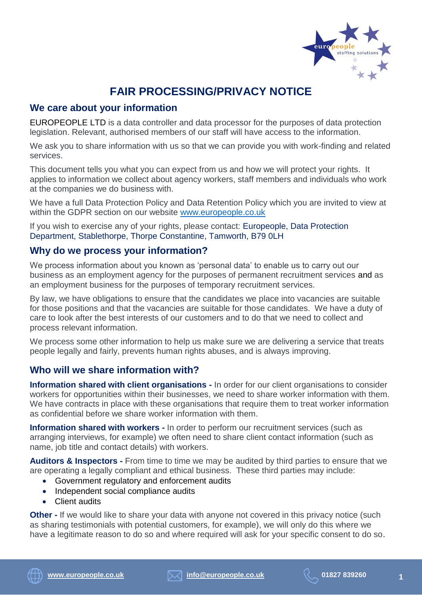

# **FAIR PROCESSING/PRIVACY NOTICE**

## **We care about your information**

EUROPEOPLE LTD is a data controller and data processor for the purposes of data protection legislation. Relevant, authorised members of our staff will have access to the information.

We ask you to share information with us so that we can provide you with work-finding and related services.

This document tells you what you can expect from us and how we will protect your rights. It applies to information we collect about agency workers, staff members and individuals who work at the companies we do business with.

We have a full Data Protection Policy and Data Retention Policy which you are invited to view at within the GDPR section on our website [www.europeople.co.uk](http://www.europeople.co.uk/)

If you wish to exercise any of your rights, please contact: Europeople, Data Protection Department, Stablethorpe, Thorpe Constantine, Tamworth, B79 0LH

## **Why do we process your information?**

We process information about you known as 'personal data' to enable us to carry out our business as an employment agency for the purposes of permanent recruitment services and as an employment business for the purposes of temporary recruitment services.

By law, we have obligations to ensure that the candidates we place into vacancies are suitable for those positions and that the vacancies are suitable for those candidates. We have a duty of care to look after the best interests of our customers and to do that we need to collect and process relevant information.

We process some other information to help us make sure we are delivering a service that treats people legally and fairly, prevents human rights abuses, and is always improving.

# **Who will we share information with?**

**Information shared with client organisations -** In order for our client organisations to consider workers for opportunities within their businesses, we need to share worker information with them. We have contracts in place with these organisations that require them to treat worker information as confidential before we share worker information with them.

**Information shared with workers -** In order to perform our recruitment services (such as arranging interviews, for example) we often need to share client contact information (such as name, job title and contact details) with workers.

**Auditors & Inspectors -** From time to time we may be audited by third parties to ensure that we are operating a legally compliant and ethical business. These third parties may include:

- Government regulatory and enforcement audits
- Independent social compliance audits
- Client audits

**Other -** If we would like to share your data with anyone not covered in this privacy notice (such as sharing testimonials with potential customers, for example), we will only do this where we have a legitimate reason to do so and where required will ask for your specific consent to do so.

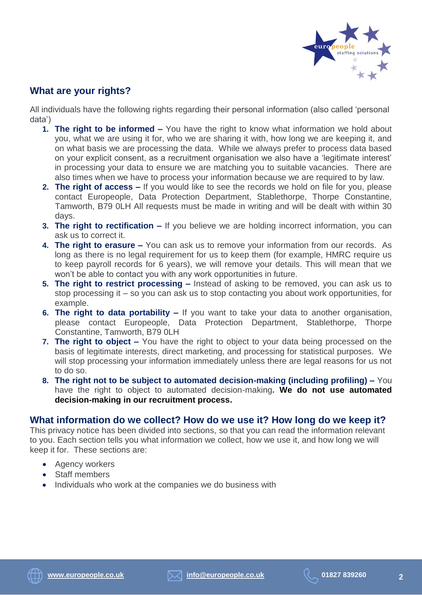

## **What are your rights?**

All individuals have the following rights regarding their personal information (also called 'personal data')

- **1. The right to be informed –** You have the right to know what information we hold about you, what we are using it for, who we are sharing it with, how long we are keeping it, and on what basis we are processing the data. While we always prefer to process data based on your explicit consent, as a recruitment organisation we also have a 'legitimate interest' in processing your data to ensure we are matching you to suitable vacancies. There are also times when we have to process your information because we are required to by law.
- **2. The right of access –** If you would like to see the records we hold on file for you, please contact Europeople, Data Protection Department, Stablethorpe, Thorpe Constantine, Tamworth, B79 0LH All requests must be made in writing and will be dealt with within 30 days.
- **3. The right to rectification –** If you believe we are holding incorrect information, you can ask us to correct it.
- **4. The right to erasure –** You can ask us to remove your information from our records. As long as there is no legal requirement for us to keep them (for example, HMRC require us to keep payroll records for 6 years), we will remove your details. This will mean that we won't be able to contact you with any work opportunities in future.
- **5. The right to restrict processing –** Instead of asking to be removed, you can ask us to stop processing it – so you can ask us to stop contacting you about work opportunities, for example.
- **6. The right to data portability –** If you want to take your data to another organisation, please contact Europeople, Data Protection Department, Stablethorpe, Thorpe Constantine, Tamworth, B79 0LH
- **7. The right to object –** You have the right to object to your data being processed on the basis of legitimate interests, direct marketing, and processing for statistical purposes. We will stop processing your information immediately unless there are legal reasons for us not to do so.
- **8. The right not to be subject to automated decision-making (including profiling) –** You have the right to object to automated decision-making**. We do not use automated decision-making in our recruitment process.**

### **What information do we collect? How do we use it? How long do we keep it?**

This privacy notice has been divided into sections, so that you can read the information relevant to you. Each section tells you what information we collect, how we use it, and how long we will keep it for. These sections are:

- Agency workers
- Staff members
- Individuals who work at the companies we do business with

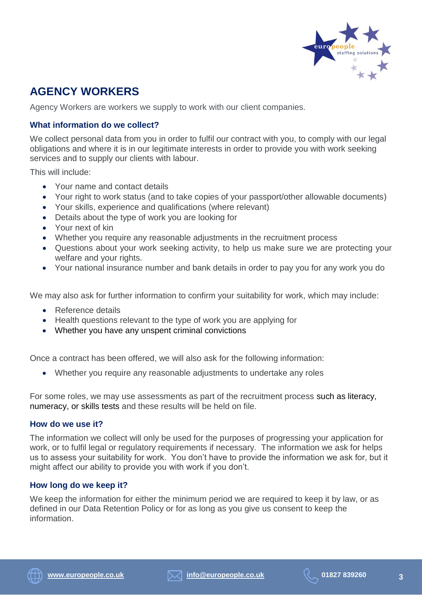

# **AGENCY WORKERS**

Agency Workers are workers we supply to work with our client companies.

### **What information do we collect?**

We collect personal data from you in order to fulfil our contract with you, to comply with our legal obligations and where it is in our legitimate interests in order to provide you with work seeking services and to supply our clients with labour.

This will include:

- Your name and contact details
- Your right to work status (and to take copies of your passport/other allowable documents)
- Your skills, experience and qualifications (where relevant)
- Details about the type of work you are looking for
- Your next of kin
- Whether you require any reasonable adjustments in the recruitment process
- Questions about your work seeking activity, to help us make sure we are protecting your welfare and your rights.
- Your national insurance number and bank details in order to pay you for any work you do

We may also ask for further information to confirm your suitability for work, which may include:

- Reference details
- Health questions relevant to the type of work you are applying for
- Whether you have any unspent criminal convictions

Once a contract has been offered, we will also ask for the following information:

Whether you require any reasonable adjustments to undertake any roles

For some roles, we may use assessments as part of the recruitment process such as literacy, numeracy, or skills tests and these results will be held on file.

#### **How do we use it?**

The information we collect will only be used for the purposes of progressing your application for work, or to fulfil legal or regulatory requirements if necessary. The information we ask for helps us to assess your suitability for work. You don't have to provide the information we ask for, but it might affect our ability to provide you with work if you don't.

#### **How long do we keep it?**

We keep the information for either the minimum period we are required to keep it by law, or as defined in our Data Retention Policy or for as long as you give us consent to keep the information.



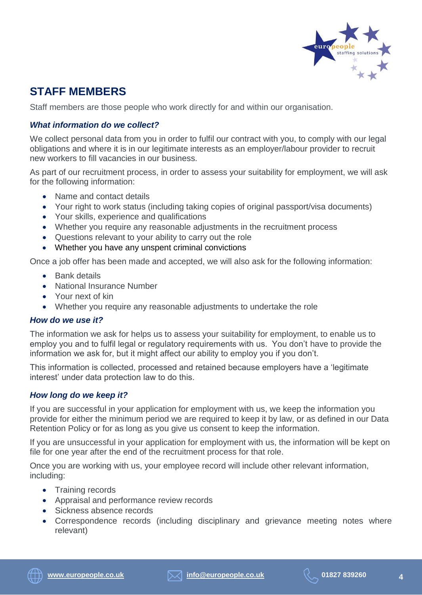

# **STAFF MEMBERS**

Staff members are those people who work directly for and within our organisation.

### *What information do we collect?*

We collect personal data from you in order to fulfil our contract with you, to comply with our legal obligations and where it is in our legitimate interests as an employer/labour provider to recruit new workers to fill vacancies in our business.

As part of our recruitment process, in order to assess your suitability for employment, we will ask for the following information:

- Name and contact details
- Your right to work status (including taking copies of original passport/visa documents)
- Your skills, experience and qualifications
- Whether you require any reasonable adjustments in the recruitment process
- Questions relevant to your ability to carry out the role
- Whether you have any unspent criminal convictions

Once a job offer has been made and accepted, we will also ask for the following information:

- Bank details
- National Insurance Number
- Your next of kin
- Whether you require any reasonable adjustments to undertake the role

#### *How do we use it?*

The information we ask for helps us to assess your suitability for employment, to enable us to employ you and to fulfil legal or regulatory requirements with us. You don't have to provide the information we ask for, but it might affect our ability to employ you if you don't.

This information is collected, processed and retained because employers have a 'legitimate interest' under data protection law to do this.

#### *How long do we keep it?*

If you are successful in your application for employment with us, we keep the information you provide for either the minimum period we are required to keep it by law, or as defined in our Data Retention Policy or for as long as you give us consent to keep the information.

If you are unsuccessful in your application for employment with us, the information will be kept on file for one year after the end of the recruitment process for that role.

Once you are working with us, your employee record will include other relevant information, including:

- Training records
- Appraisal and performance review records
- Sickness absence records
- Correspondence records (including disciplinary and grievance meeting notes where relevant)



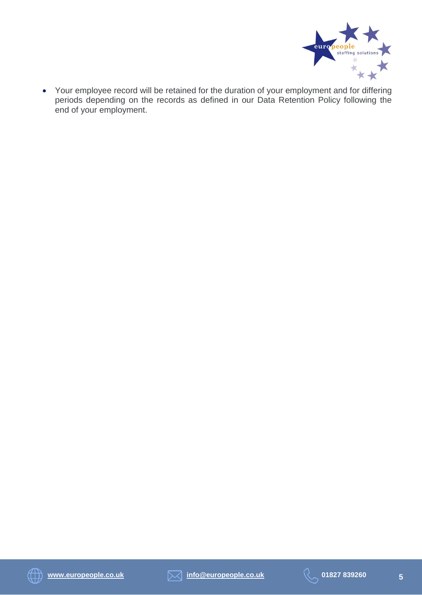

 Your employee record will be retained for the duration of your employment and for differing periods depending on the records as defined in our Data Retention Policy following the end of your employment.